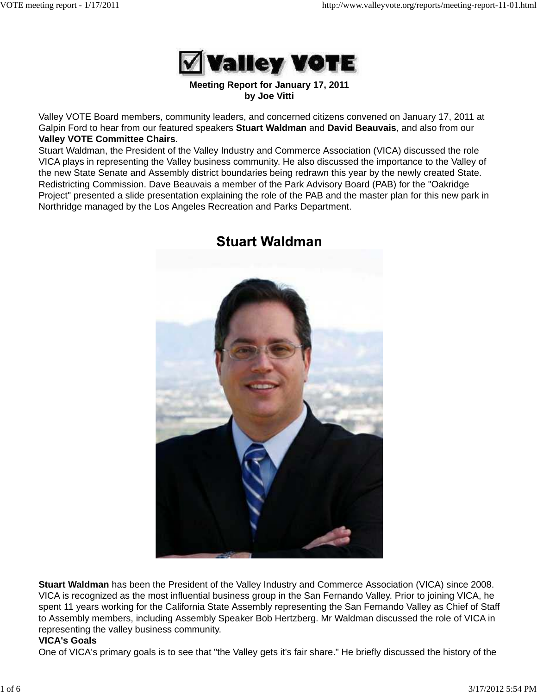

#### **Meeting Report for January 17, 2011 by Joe Vitti**

Valley VOTE Board members, community leaders, and concerned citizens convened on January 17, 2011 at Galpin Ford to hear from our featured speakers **Stuart Waldman** and **David Beauvais**, and also from our **Valley VOTE Committee Chairs**.

Stuart Waldman, the President of the Valley Industry and Commerce Association (VICA) discussed the role VICA plays in representing the Valley business community. He also discussed the importance to the Valley of the new State Senate and Assembly district boundaries being redrawn this year by the newly created State. Redistricting Commission. Dave Beauvais a member of the Park Advisory Board (PAB) for the "Oakridge Project" presented a slide presentation explaining the role of the PAB and the master plan for this new park in Northridge managed by the Los Angeles Recreation and Parks Department.



### **Stuart Waldman**

**Stuart Waldman** has been the President of the Valley Industry and Commerce Association (VICA) since 2008. VICA is recognized as the most influential business group in the San Fernando Valley. Prior to joining VICA, he spent 11 years working for the California State Assembly representing the San Fernando Valley as Chief of Staff to Assembly members, including Assembly Speaker Bob Hertzberg. Mr Waldman discussed the role of VICA in representing the valley business community.

#### **VICA's Goals**

One of VICA's primary goals is to see that "the Valley gets it's fair share." He briefly discussed the history of the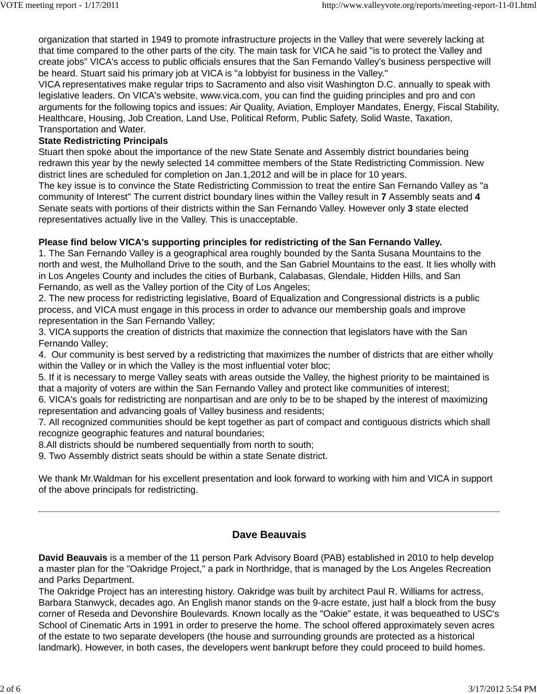organization that started in 1949 to promote infrastructure projects in the Valley that were severely lacking at that time compared to the other parts of the city. The main task for VICA he said "is to protect the Valley and create jobs" VICA's access to public officials ensures that the San Fernando Valley's business perspective will be heard. Stuart said his primary job at VICA is "a lobbyist for business in the Valley."

VICA representatives make regular trips to Sacramento and also visit Washington D.C. annually to speak with legislative leaders. On VICA's website, www.vica.com, you can find the guiding principles and pro and con arguments for the following topics and issues: Air Quality, Aviation, Employer Mandates, Energy, Fiscal Stability, Healthcare, Housing, Job Creation, Land Use, Political Reform, Public Safety, Solid Waste, Taxation, Transportation and Water.

#### **State Redistricting Principals**

Stuart then spoke about the importance of the new State Senate and Assembly district boundaries being redrawn this year by the newly selected 14 committee members of the State Redistricting Commission. New district lines are scheduled for completion on Jan.1,2012 and will be in place for 10 years.

The key issue is to convince the State Redistricting Commission to treat the entire San Fernando Valley as "a community of Interest" The current district boundary lines within the Valley result in **7** Assembly seats and **4** Senate seats with portions of their districts within the San Fernando Valley. However only **3** state elected representatives actually live in the Valley. This is unacceptable.

#### **Please find below VICA's supporting principles for redistricting of the San Fernando Valley.**

1. The San Fernando Valley is a geographical area roughly bounded by the Santa Susana Mountains to the north and west, the Mulholland Drive to the south, and the San Gabriel Mountains to the east. It lies wholly with in Los Angeles County and includes the cities of Burbank, Calabasas, Glendale, Hidden Hills, and San Fernando, as well as the Valley portion of the City of Los Angeles;

2. The new process for redistricting legislative, Board of Equalization and Congressional districts is a public process, and VICA must engage in this process in order to advance our membership goals and improve representation in the San Fernando Valley;

3. VICA supports the creation of districts that maximize the connection that legislators have with the San Fernando Valley;

4. Our community is best served by a redistricting that maximizes the number of districts that are either wholly within the Valley or in which the Valley is the most influential voter bloc;

5. If it is necessary to merge Valley seats with areas outside the Valley, the highest priority to be maintained is that a majority of voters are within the San Fernando Valley and protect like communities of interest;

6. VICA's goals for redistricting are nonpartisan and are only to be to be shaped by the interest of maximizing representation and advancing goals of Valley business and residents;

7. All recognized communities should be kept together as part of compact and contiguous districts which shall recognize geographic features and natural boundaries;

8.All districts should be numbered sequentially from north to south;

9. Two Assembly district seats should be within a state Senate district.

We thank Mr.Waldman for his excellent presentation and look forward to working with him and VICA in support of the above principals for redistricting.

#### **Dave Beauvais**

**David Beauvais** is a member of the 11 person Park Advisory Board (PAB) established in 2010 to help develop a master plan for the "Oakridge Project," a park in Northridge, that is managed by the Los Angeles Recreation and Parks Department.

The Oakridge Project has an interesting history. Oakridge was built by architect Paul R. Williams for actress, Barbara Stanwyck, decades ago. An English manor stands on the 9-acre estate, just half a block from the busy corner of Reseda and Devonshire Boulevards. Known locally as the "Oakie" estate, it was bequeathed to USC's School of Cinematic Arts in 1991 in order to preserve the home. The school offered approximately seven acres of the estate to two separate developers (the house and surrounding grounds are protected as a historical landmark). However, in both cases, the developers went bankrupt before they could proceed to build homes.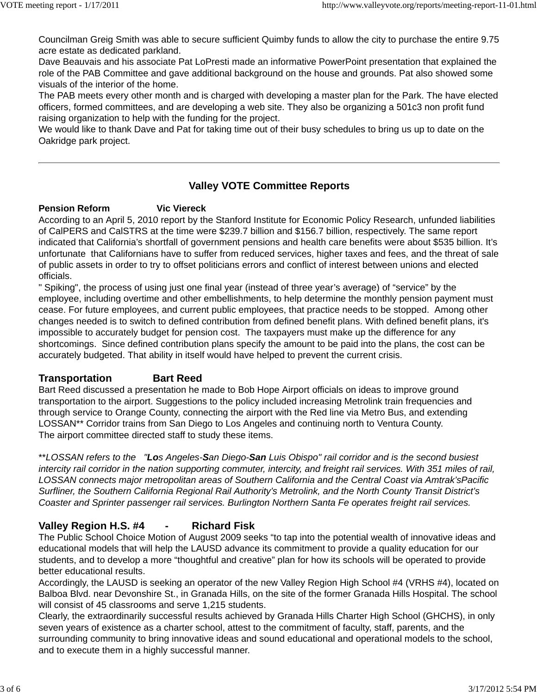Councilman Greig Smith was able to secure sufficient Quimby funds to allow the city to purchase the entire 9.75 acre estate as dedicated parkland.

Dave Beauvais and his associate Pat LoPresti made an informative PowerPoint presentation that explained the role of the PAB Committee and gave additional background on the house and grounds. Pat also showed some visuals of the interior of the home.

The PAB meets every other month and is charged with developing a master plan for the Park. The have elected officers, formed committees, and are developing a web site. They also be organizing a 501c3 non profit fund raising organization to help with the funding for the project.

We would like to thank Dave and Pat for taking time out of their busy schedules to bring us up to date on the Oakridge park project.

#### **Valley VOTE Committee Reports**

#### **Pension Reform Vic Viereck**

According to an April 5, 2010 report by the Stanford Institute for Economic Policy Research, unfunded liabilities of CalPERS and CalSTRS at the time were \$239.7 billion and \$156.7 billion, respectively. The same report indicated that California's shortfall of government pensions and health care benefits were about \$535 billion. It's unfortunate that Californians have to suffer from reduced services, higher taxes and fees, and the threat of sale of public assets in order to try to offset politicians errors and conflict of interest between unions and elected officials.

" Spiking", the process of using just one final year (instead of three year's average) of "service" by the employee, including overtime and other embellishments, to help determine the monthly pension payment must cease. For future employees, and current public employees, that practice needs to be stopped. Among other changes needed is to switch to defined contribution from defined benefit plans. With defined benefit plans, it's impossible to accurately budget for pension cost. The taxpayers must make up the difference for any shortcomings. Since defined contribution plans specify the amount to be paid into the plans, the cost can be accurately budgeted. That ability in itself would have helped to prevent the current crisis.

#### **Transportation Bart Reed**

Bart Reed discussed a presentation he made to Bob Hope Airport officials on ideas to improve ground transportation to the airport. Suggestions to the policy included increasing Metrolink train frequencies and through service to Orange County, connecting the airport with the Red line via Metro Bus, and extending LOSSAN\*\* Corridor trains from San Diego to Los Angeles and continuing north to Ventura County. The airport committee directed staff to study these items.

\*\**LOSSAN refers to the "Los Angeles-San Diego-San Luis Obispo" rail corridor and is the second busiest intercity rail corridor in the nation supporting commuter, intercity, and freight rail services. With 351 miles of rail, LOSSAN connects major metropolitan areas of Southern California and the Central Coast via Amtrak'sPacific Surfliner, the Southern California Regional Rail Authority's Metrolink, and the North County Transit District's Coaster and Sprinter passenger rail services. Burlington Northern Santa Fe operates freight rail services.*

#### **Valley Region H.S. #4 - Richard Fisk**

The Public School Choice Motion of August 2009 seeks "to tap into the potential wealth of innovative ideas and educational models that will help the LAUSD advance its commitment to provide a quality education for our students, and to develop a more "thoughtful and creative" plan for how its schools will be operated to provide better educational results.

Accordingly, the LAUSD is seeking an operator of the new Valley Region High School #4 (VRHS #4), located on Balboa Blvd. near Devonshire St., in Granada Hills, on the site of the former Granada Hills Hospital. The school will consist of 45 classrooms and serve 1,215 students.

Clearly, the extraordinarily successful results achieved by Granada Hills Charter High School (GHCHS), in only seven years of existence as a charter school, attest to the commitment of faculty, staff, parents, and the surrounding community to bring innovative ideas and sound educational and operational models to the school, and to execute them in a highly successful manner.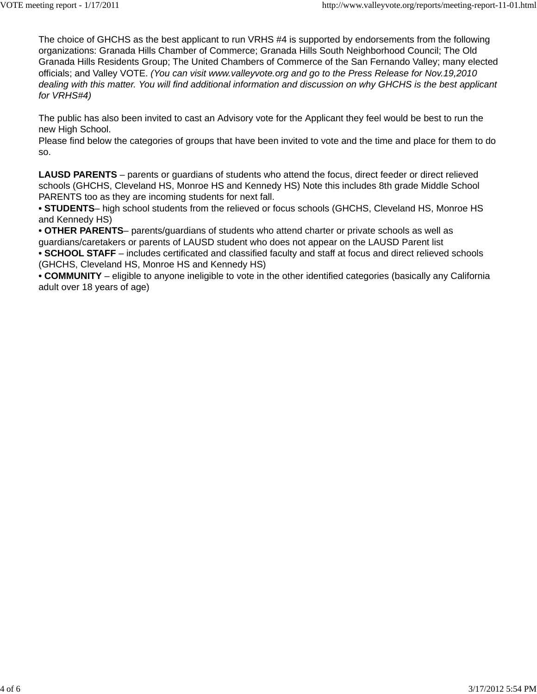The choice of GHCHS as the best applicant to run VRHS #4 is supported by endorsements from the following organizations: Granada Hills Chamber of Commerce; Granada Hills South Neighborhood Council; The Old Granada Hills Residents Group; The United Chambers of Commerce of the San Fernando Valley; many elected officials; and Valley VOTE. *(You can visit www.valleyvote.org and go to the Press Release for Nov.19,2010 dealing with this matter. You will find additional information and discussion on why GHCHS is the best applicant for VRHS#4)*

The public has also been invited to cast an Advisory vote for the Applicant they feel would be best to run the new High School.

Please find below the categories of groups that have been invited to vote and the time and place for them to do so.

**LAUSD PARENTS** – parents or guardians of students who attend the focus, direct feeder or direct relieved schools (GHCHS, Cleveland HS, Monroe HS and Kennedy HS) Note this includes 8th grade Middle School PARENTS too as they are incoming students for next fall.

**• STUDENTS**– high school students from the relieved or focus schools (GHCHS, Cleveland HS, Monroe HS and Kennedy HS)

**• OTHER PARENTS**– parents/guardians of students who attend charter or private schools as well as guardians/caretakers or parents of LAUSD student who does not appear on the LAUSD Parent list

**• SCHOOL STAFF** – includes certificated and classified faculty and staff at focus and direct relieved schools (GHCHS, Cleveland HS, Monroe HS and Kennedy HS)

**• COMMUNITY** – eligible to anyone ineligible to vote in the other identified categories (basically any California adult over 18 years of age)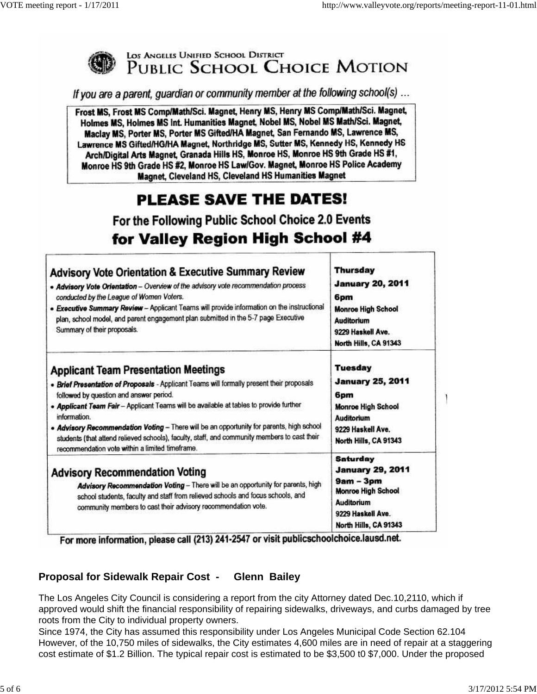

# LOS ANGELES UNIFIED SCHOOL DISTRICT<br>PUBLIC SCHOOL CHOICE MOTION

If you are a parent, guardian or community member at the following school(s)...

Frost MS, Frost MS Comp/Math/Sci. Magnet, Henry MS, Henry MS Comp/Math/Sci. Magnet, Holmes MS, Holmes MS Int. Humanities Magnet, Nobel MS, Nobel MS Math/Sci. Magnet, Maclay MS, Porter MS, Porter MS Gifted/HA Magnet, San Fernando MS, Lawrence MS, Lawrence MS Gifted/HG/HA Magnet, Northridge MS, Sutter MS, Kennedy HS, Kennedy HS Arch/Digital Arts Magnet, Granada Hills HS, Monroe HS, Monroe HS 9th Grade HS #1, Monroe HS 9th Grade HS #2, Monroe HS Law/Gov. Magnet, Monroe HS Police Academy Magnet, Cleveland HS, Cleveland HS Humanities Magnet

## PLEASE SAVE THE DATES!

For the Following Public School Choice 2.0 Events for Valley Region High School #4

| <b>Advisory Vote Orientation &amp; Executive Summary Review</b><br>. Advisory Vote Orientation - Overview of the advisory vote recommendation process<br>conducted by the League of Women Voters.<br>. Executive Summary Review - Applicant Teams will provide information on the instructional<br>plan, school model, and parent engagement plan submitted in the 5-7 page Executive<br>Summary of their proposals.                                                                                                                         | <b>Thursday</b><br><b>January 20, 2011</b><br>6pm<br><b>Monroe High School</b><br><b>Auditorium</b><br>9229 Haskell Ave.<br>North Hills, CA 91343         |
|----------------------------------------------------------------------------------------------------------------------------------------------------------------------------------------------------------------------------------------------------------------------------------------------------------------------------------------------------------------------------------------------------------------------------------------------------------------------------------------------------------------------------------------------|-----------------------------------------------------------------------------------------------------------------------------------------------------------|
| <b>Applicant Team Presentation Meetings</b><br>. Brief Presentation of Proposals - Applicant Teams will formally present their proposals<br>followed by question and answer period.<br>. Applicant Team Fair - Applicant Teams will be available at tables to provide further<br>information.<br>. Advisory Recommendation Voting - There will be an opportunity for parents, high school<br>students (that attend relieved schools), faculty, staff, and community members to cast their<br>recommendation vote within a limited timeframe. | Tuesday<br><b>January 25, 2011</b><br>6pm<br><b>Monroe High School</b><br><b>Auditorium</b><br>9229 Haskell Ave.<br>North Hills, CA 91343                 |
| <b>Advisory Recommendation Voting</b><br>Advisory Recommendation Voting - There will be an opportunity for parents, high<br>school students, faculty and staff from relieved schools and focus schools, and<br>community members to cast their advisory recommendation vote.                                                                                                                                                                                                                                                                 | <b>Saturday</b><br><b>January 29, 2011</b><br>$9am - 3pm$<br><b>Monroe High School</b><br><b>Auditorium</b><br>9229 Haskell Ave.<br>North Hills, CA 91343 |

For more information, please call (213) 241-2547 or visit publicschoolchoice.lausd.net.

#### **Proposal for Sidewalk Repair Cost - Glenn Bailey**

The Los Angeles City Council is considering a report from the city Attorney dated Dec.10,2110, which if approved would shift the financial responsibility of repairing sidewalks, driveways, and curbs damaged by tree roots from the City to individual property owners.

Since 1974, the City has assumed this responsibility under Los Angeles Municipal Code Section 62.104 However, of the 10,750 miles of sidewalks, the City estimates 4,600 miles are in need of repair at a staggering cost estimate of \$1.2 Billion. The typical repair cost is estimated to be \$3,500 t0 \$7,000. Under the proposed